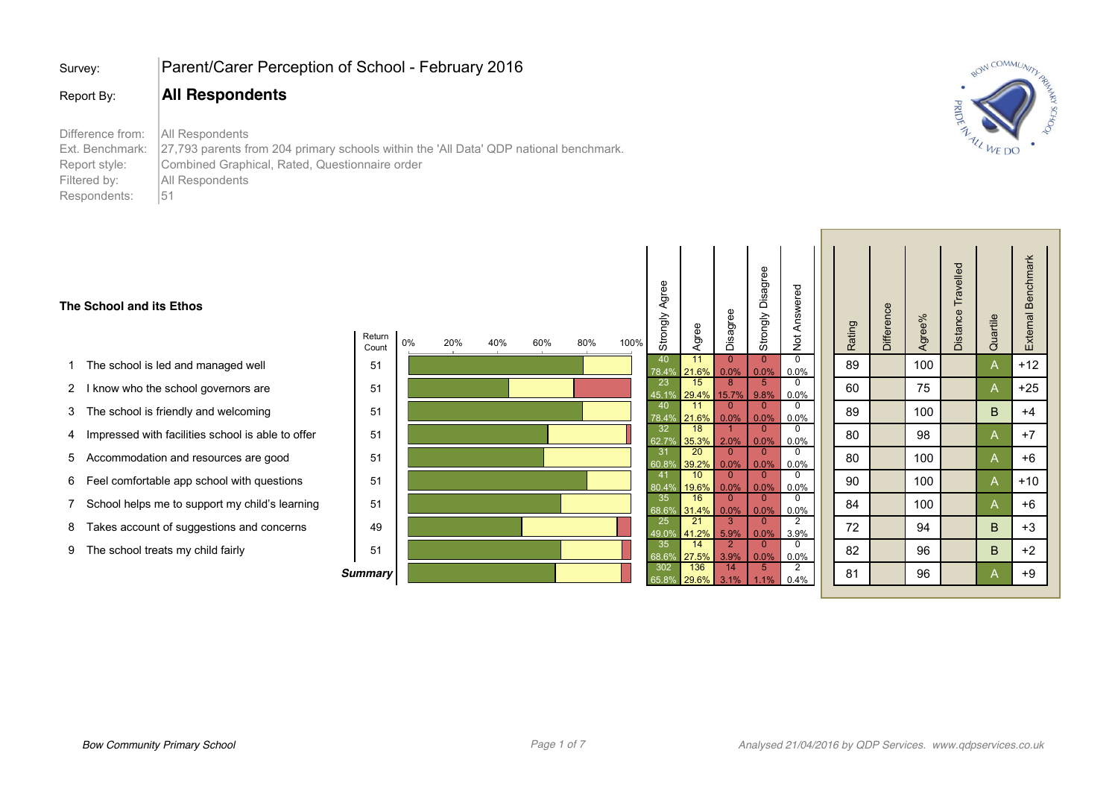| Survey:                                                                              | Parent/Carer Perception of School - February 2016                                                                                                                                   |
|--------------------------------------------------------------------------------------|-------------------------------------------------------------------------------------------------------------------------------------------------------------------------------------|
| Report By:                                                                           | <b>All Respondents</b>                                                                                                                                                              |
| Difference from:<br>Ext. Benchmark:<br>Report style:<br>Filtered by:<br>Respondents: | All Respondents<br>27,793 parents from 204 primary schools within the 'All Data' QDP national benchmark.<br>Combined Graphical, Rated, Questionnaire order<br>All Respondents<br>51 |



#### **The School and its Ethos**

- 1 The school is led and managed well
- 2 I know who the school governors are
- 3 The school is friendly and welcoming
- 4 Impressed with facilities school is able to offer
- 5 Accommodation and resources are good
- 6 Feel comfortable app school with questions
- 7 School helps me to support my child's learning
- 8 Takes account of suggestions and concerns
- 9 The school treats my child fairly

| Return<br>Count | 0% | 20% | 40% | 60% | 80% | 100% |                |
|-----------------|----|-----|-----|-----|-----|------|----------------|
| 51              |    |     |     |     |     |      | 78             |
| 51              |    |     |     |     |     |      | 45             |
| 51              |    |     |     |     |     |      | 78             |
| 51              |    |     |     |     |     |      | 62             |
| 51              |    |     |     |     |     |      | 6 <sup>o</sup> |
| 51              |    |     |     |     |     |      | 80             |
| 51              |    |     |     |     |     |      | 68             |
| 49              |    |     |     |     |     |      | 49             |
| 51              |    |     |     |     |     |      | 68             |
| <b>Summary</b>  |    |     |     |     |     |      | 65             |

| 40<br>$\overline{0}$<br>11<br>$\overline{0}$<br>$\overline{0}$<br>100<br>89<br>21.6%<br>0.0%<br>0.0%<br>0.0%<br>78.4% | A |       |
|-----------------------------------------------------------------------------------------------------------------------|---|-------|
|                                                                                                                       |   | $+12$ |
| 23<br>15<br>8<br>5<br>0<br>60<br>75<br>29.4%<br>9.8%<br>0.0%<br>45.1%<br>15.7%                                        | A | +25   |
| 40<br>11<br>$\overline{0}$<br>0<br>$\overline{0}$<br>100<br>89<br>78.4%<br>21.6%<br>0.0%<br>0.0%<br>0.0%              | B | $+4$  |
| 32<br>18<br>$\overline{0}$<br>0<br>1<br>80<br>98<br>35.3%<br>0.0%<br>62.7%<br>2.0%<br>0.0%                            | A | +7    |
| 31<br>20<br>0<br>$\overline{0}$<br>$\overline{0}$<br>80<br>100<br>60.8%<br>39.2%<br>0.0%<br>0.0%<br>0.0%              | A | +6    |
| 41<br>10<br>$\overline{0}$<br>$\overline{0}$<br>$\overline{0}$<br>90<br>100<br>19.6%<br>80.4%<br>0.0%<br>0.0%<br>0.0% | A | $+10$ |
| 16<br>35<br>$\overline{0}$<br>$\overline{0}$<br>0<br>84<br>100<br>68.6%<br>31.4%<br>0.0%<br>0.0%<br>0.0%              | A | +6    |
| $\overline{21}$<br>$\overline{2}$<br>25<br>3<br>$\overline{0}$<br>72<br>94<br>49.0%<br>41.2%<br>5.9%<br>3.9%<br>0.0%  | B | +3    |
| $\overline{2}$<br>35<br>14<br>$\overline{0}$<br>0<br>82<br>96<br>68.6%<br>27.5%<br>3.9%<br>0.0%<br>0.0%               | B | +2    |
| $\overline{2}$<br>136<br>302<br>5<br>14<br>81<br>96<br>65.8%<br>29.6%<br>0.4%<br>3.1%<br>1.1%                         | Α | +9    |

 $\mathbf{I}$ 

 $\blacksquare$ 

 $\mathbf{1}$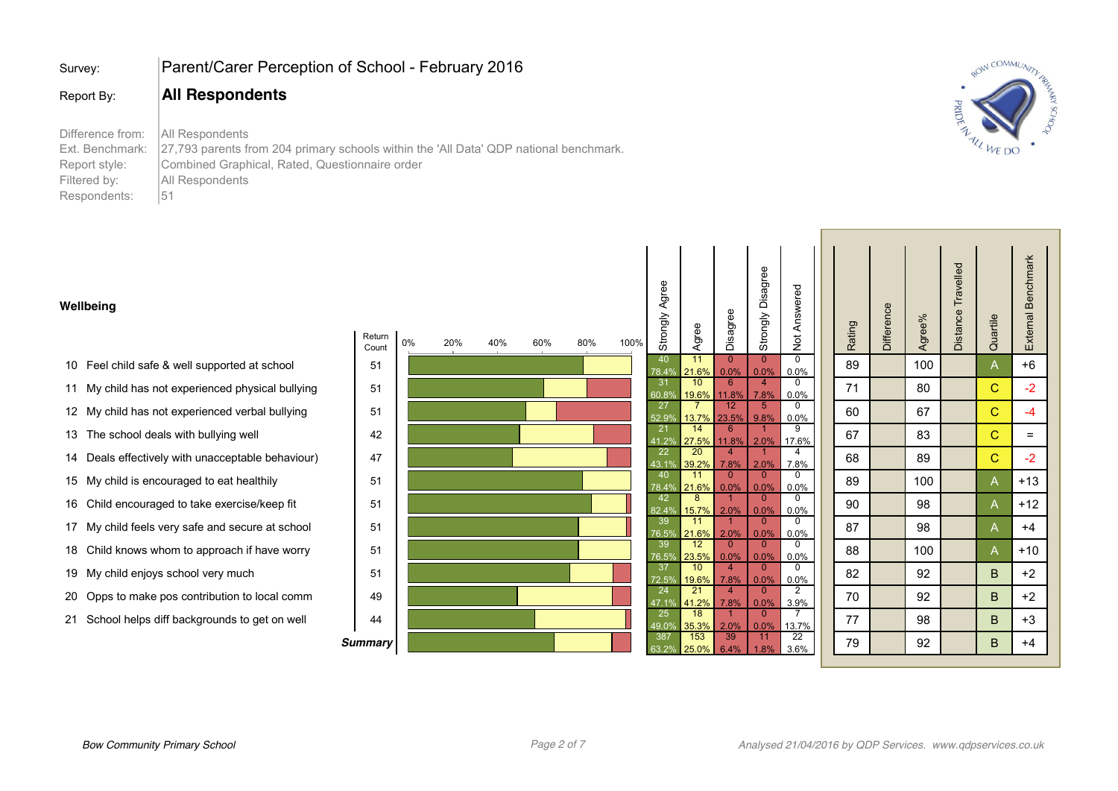| Survey:                                                                              | Parent/Carer Perception of School - February 2016                                                                                                                                   |
|--------------------------------------------------------------------------------------|-------------------------------------------------------------------------------------------------------------------------------------------------------------------------------------|
| Report By:                                                                           | <b>All Respondents</b>                                                                                                                                                              |
| Difference from:<br>Ext. Benchmark:<br>Report style:<br>Filtered by:<br>Respondents: | All Respondents<br>27,793 parents from 204 primary schools within the 'All Data' QDP national benchmark.<br>Combined Graphical, Rated, Questionnaire order<br>All Respondents<br>51 |



#### **Wellbeing**

- 10 Feel child safe & well supported at school
- 11 My child has not experienced physical bullying
- 12 My child has not experienced verbal bullying
- 13 The school deals with bullying well
- 14 Deals effectively with unacceptable behaviour)
- 15 My child is encouraged to eat healthily
- 16 Child encouraged to take exercise/keep fit
- 17 My child feels very safe and secure at school
- 18 Child knows whom to approach if have worry
- 19 My child enjoys school very much
- 20 Opps to make pos contribution to local comm
- 21 School helps diff backgrounds to get on well

| Return<br>Count | 0% | 20% | 40% | 60% | 80% | 100% | Strongly Agree | Agree          |  |
|-----------------|----|-----|-----|-----|-----|------|----------------|----------------|--|
| 51              |    |     |     |     |     |      | 40             | 11             |  |
|                 |    |     |     |     |     |      | 78.4%          | 21.6%          |  |
| 51              |    |     |     |     |     |      | 31<br>60.8%    | 10<br>19.6%    |  |
|                 |    |     |     |     |     |      | 27             | $\overline{7}$ |  |
| 51              |    |     |     |     |     |      | 52.9%          | 13.7%          |  |
| 42              |    |     |     |     |     |      | 21             | 14             |  |
|                 |    |     |     |     |     |      | 41.2%<br>22    | 27.5%<br>20    |  |
| 47              |    |     |     |     |     |      | 43.1%          | 39.2%          |  |
| 51              |    |     |     |     |     |      | 40             | 11             |  |
|                 |    |     |     |     |     |      | 78.4%          | 21.6%          |  |
| 51              |    |     |     |     |     |      | 42             | 8              |  |
|                 |    |     |     |     |     |      | 82.4%<br>39    | 15.7%<br>11    |  |
| 51              |    |     |     |     |     |      | 76.5%          | 21.6%          |  |
| 51              |    |     |     |     |     |      | 39             | 12             |  |
|                 |    |     |     |     |     |      | 76.5%          | 23.5%          |  |
| 51              |    |     |     |     |     |      | 37<br>72.5%    | 10<br>19.6%    |  |
|                 |    |     |     |     |     |      | 24             | 21             |  |
| 49              |    |     |     |     |     |      | 47.1%          | 41.2%          |  |
| 44              |    |     |     |     |     |      | 25             | 18             |  |
|                 |    |     |     |     |     |      | 49.0%<br>387   | 35.3%<br>153   |  |
| <b>Summary</b>  |    |     |     |     |     |      | 63.2%          | 25.0%          |  |
|                 |    |     |     |     |     |      |                |                |  |

Agree

| Agree                              | Disagree                     | Strongly Disagree         | Not Answered                    | Rating | Difference | Agree% | Distance Travelled | Quartile    | External Benchmark |
|------------------------------------|------------------------------|---------------------------|---------------------------------|--------|------------|--------|--------------------|-------------|--------------------|
| 11<br>21.6%                        | $\overline{0}$<br>0.0%       | $\overline{0}$<br>$0.0\%$ | $\overline{\mathbf{0}}$<br>0.0% | 89     |            | 100    |                    | A           | $+6$               |
| 10                                 | $6\overline{6}$              | 4<br>7.8%                 | $\overline{0}$                  | 71     |            | 80     |                    | C           | $-2$               |
| $\frac{19.6\%}{7}$<br><u>13.7%</u> | $\frac{11.8\%}{12}$<br>23.5% | $\overline{5}$<br>9.8%    | $\frac{0.0\%}{0}$               | 60     |            | 67     |                    | C           | $-4$               |
| $-14$<br>27.5%                     | $\overline{6}$<br>11.8%      | 1<br>2.0%                 | $\frac{0.0\%}{9}$<br>17.6%      | 67     |            | 83     |                    | $\mathbf C$ | $=$                |
| $\overline{20}$<br>39.2%           | $\overline{4}$<br>7.8%       | 1<br>2.0%                 | $\overline{4}$<br>7.8%          | 68     |            | 89     |                    | $\mathsf C$ | $-2$               |
| $-11$<br>$\frac{21.6\%}{8}$        | $\overline{0}$<br>0.0%       | $\overline{0}$<br>0.0%    | $\overline{0}$<br>0.0%          | 89     |            | 100    |                    | A           | $+13$              |
| $\overline{\phantom{a}8}$<br>15.7% | $\overline{1}$<br>2.0%       | $\overline{0}$<br>0.0%    | $\overline{0}$<br>0.0%          | 90     |            | 98     |                    | A           | $+12$              |
| 11<br>21.6%                        | $\overline{1}$<br>2.0%       | $\overline{0}$<br>0.0%    | $\overline{0}$<br>0.0%          | 87     |            | 98     |                    | A           | +4                 |
| 12<br>23.5%                        | $\overline{0}$<br>0.0%       | $\overline{0}$<br>0.0%    | $\overline{0}$<br>0.0%          | 88     |            | 100    |                    | A           | $+10$              |
| 10                                 | $\overline{4}$<br>7.8%       | $\mathbf 0$<br>0.0%       | $\overline{0}$                  | 82     |            | 92     |                    | B           | $+2$               |
| $\frac{19.6\%}{21}$<br>41.2%       | $\overline{4}$<br>7.8%       | $\overline{0}$<br>0.0%    | $\frac{0.0\%}{2}$               | 70     |            | 92     |                    | B           | $+2$               |
| 18<br>35.3%                        | $\overline{1}$<br>2.0%       | $\pmb{0}$<br>0.0%         | $\frac{3.9\%}{7}$<br>13.7%      | 77     |            | 98     |                    | B           | $+3$               |
| 153<br>25.0%                       | 39<br>6.4%                   | 11<br>1.8%                | 22<br>3.6%                      | 79     |            | 92     |                    | B           | +4                 |

 $\blacksquare$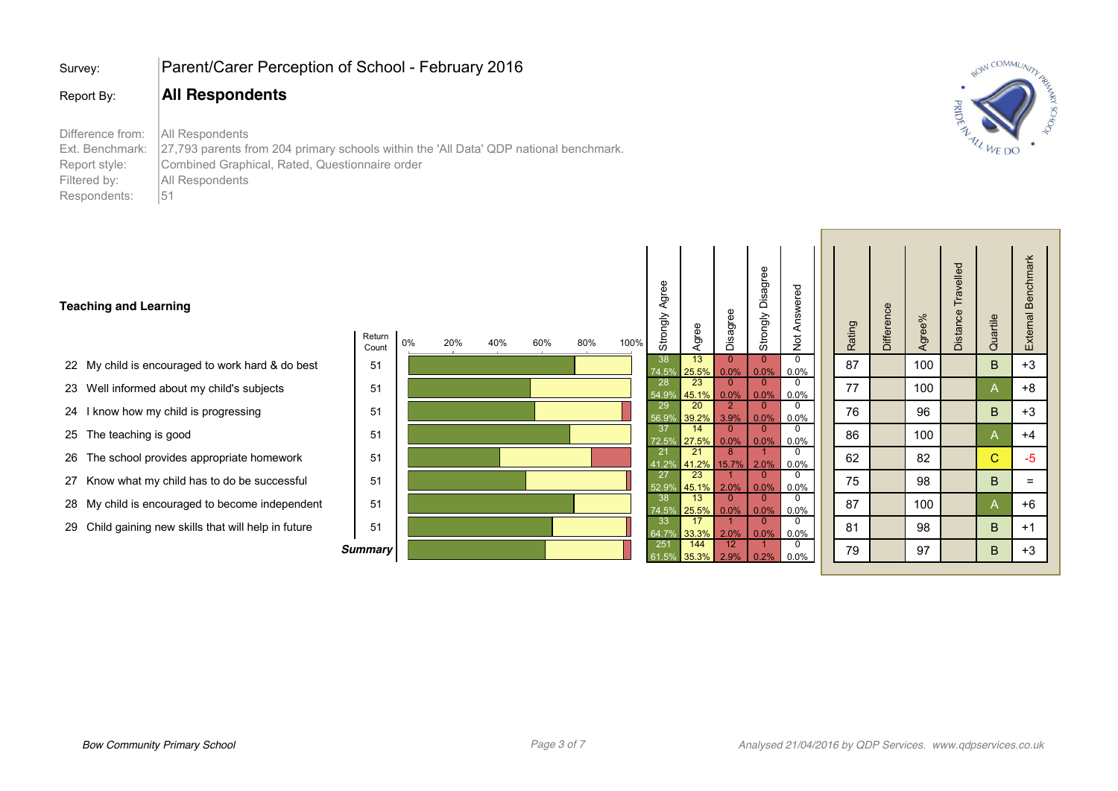| Survey:                                                                              | Parent/Carer Perception of School - February 2016                                                                                                                                      |
|--------------------------------------------------------------------------------------|----------------------------------------------------------------------------------------------------------------------------------------------------------------------------------------|
| Report By:                                                                           | <b>All Respondents</b>                                                                                                                                                                 |
| Difference from:<br>Ext. Benchmark:<br>Report style:<br>Filtered by:<br>Respondents: | All Respondents<br>27,793 parents from 204 primary schools within the 'All Data' QDP national benchmark.<br>Combined Graphical, Rated, Questionnaire order<br>All Respondents<br>$-51$ |



### **Teaching and Learning**

- 22 My child is encouraged to work hard & do best
- 23 Well informed about my child's subjects
- 24 I know how my child is progressing
- 25 The teaching is good
- 26 The school provides appropriate homework
- 27 Know what my child has to do be successful
- 28 My child is encouraged to become independent
- 29 Child gaining new skills that will help in future

| Return<br>Count | 0% | 20% | 40% | 60% | 80% | 100% |   |
|-----------------|----|-----|-----|-----|-----|------|---|
| 51              |    |     |     |     |     |      |   |
| 51              |    |     |     |     |     |      |   |
| 51              |    |     |     |     |     |      | ŗ |
| 51              |    |     |     |     |     |      |   |
| 51              |    |     |     |     |     |      |   |
| 51              |    |     |     |     |     |      | ŗ |
| 51              |    |     |     |     |     |      |   |
| 51              |    |     |     |     |     |      |   |
| <b>Summary</b>  |    |     |     |     |     |      |   |

| Strongly Agree            | Agree        | Disagree               | Strongly Disagree      | Not Answered           | Rating | Difference | Agree% | Distance Travelled | Quartile | External Benchmark |
|---------------------------|--------------|------------------------|------------------------|------------------------|--------|------------|--------|--------------------|----------|--------------------|
| 38<br>74.5%               | 13<br>25.5%  | $\overline{0}$<br>0.0% | $\mathbf 0$<br>0.0%    | $\overline{0}$<br>0.0% | 87     |            | 100    |                    | B        | $+3$               |
| 28<br>$\overline{54.9\%}$ | 23<br>45.1%  | $\mathbf{0}$<br>0.0%   | $\mathbf{0}$<br>0.0%   | $\overline{0}$<br>0.0% | 77     |            | 100    |                    | A        | $+8$               |
| 29<br>56.9%               | 20<br>39.2%  | $\overline{2}$<br>3.9% | $\mathbf{0}$<br>0.0%   | $\Omega$<br>0.0%       | 76     |            | 96     |                    | B        | $+3$               |
| 37<br>72.5%               | 14<br>27.5%  | $\mathbf{0}$<br>0.0%   | $\mathbf{0}$<br>0.0%   | $\mathbf 0$<br>0.0%    | 86     |            | 100    |                    | A        | $+4$               |
| 21<br>41.2%               | 21<br>41.2%  | 8<br>15.7%             | 1<br>2.0%              | $\mathbf 0$<br>0.0%    | 62     |            | 82     |                    | C        | -5                 |
| 27<br>52.9%               | 23<br>45.1%  | 1<br>2.0%              | $\overline{0}$<br>0.0% | $\mathbf 0$<br>0.0%    | 75     |            | 98     |                    | B        | $=$                |
| 38<br>74.5%               | 13<br>25.5%  | $\mathbf 0$<br>0.0%    | $\overline{0}$<br>0.0% | $\overline{0}$<br>0.0% | 87     |            | 100    |                    | A        | $+6$               |
| 33<br>64.7%               | 17<br>33.3%  | 1<br>2.0%              | $\overline{0}$<br>0.0% | 0<br>0.0%              | 81     |            | 98     |                    | B        | $+1$               |
| 251<br>61.5%              | 144<br>35.3% | 12<br>2.9%             | 1<br>0.2%              | 0<br>0.0%              | 79     |            | 97     |                    | $\sf B$  | $+3$               |

 $\mathbf{I}$ 

 $\overline{\phantom{a}}$ 

 $\mathbf{I}$ 

 $\blacksquare$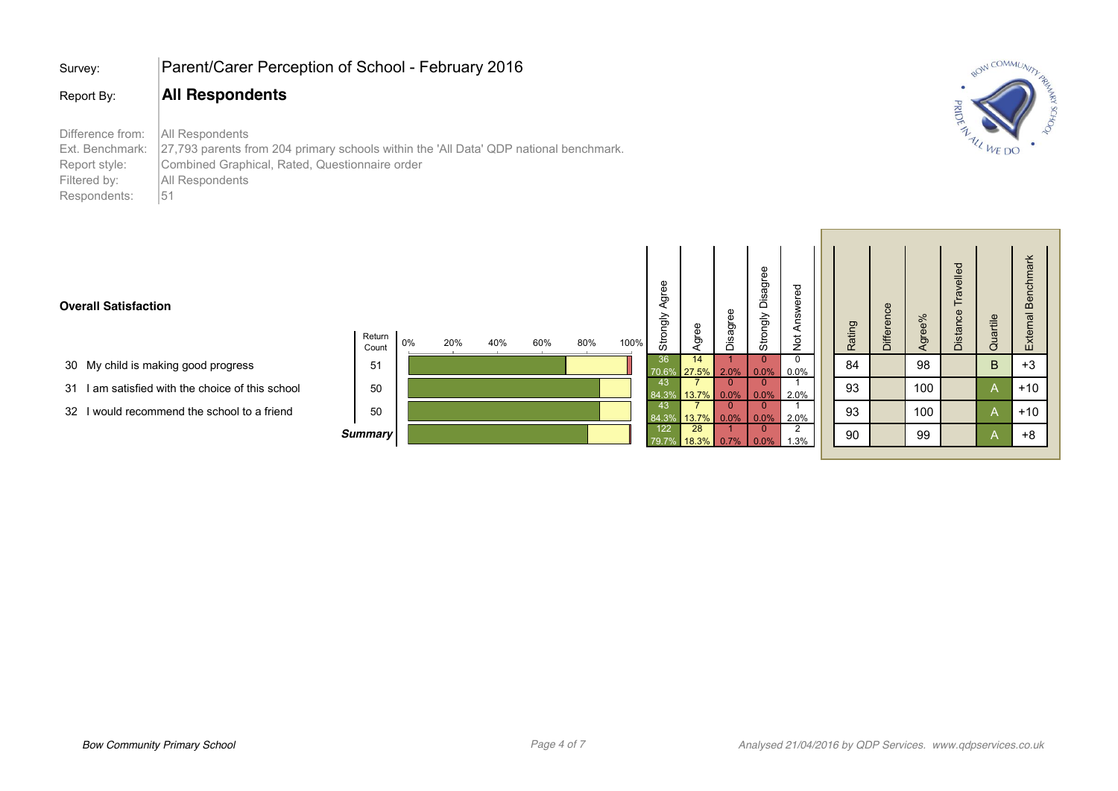| Survey:                                                                              | Parent/Carer Perception of School - February 2016                                                                                                                                   |
|--------------------------------------------------------------------------------------|-------------------------------------------------------------------------------------------------------------------------------------------------------------------------------------|
| Report By:                                                                           | <b>All Respondents</b>                                                                                                                                                              |
| Difference from:<br>Ext. Benchmark:<br>Report style:<br>Filtered by:<br>Respondents: | All Respondents<br>27,793 parents from 204 primary schools within the 'All Data' QDP national benchmark.<br>Combined Graphical, Rated, Questionnaire order<br>All Respondents<br>51 |



## **Overall Satisfaction**

 $\overline{\phantom{a}}$ 

- 30 My child is making good progress
- 31 I am satisfied with the choice of this school
- 32 I would recommend the school to a friend

| Return<br>Count<br>51 | 0% | 20% | 40% | 60% | 80% | 100% |
|-----------------------|----|-----|-----|-----|-----|------|
| 50                    |    |     |     |     |     |      |
| 50                    |    |     |     |     |     |      |
| <b>Summary</b>        |    |     |     |     |     |      |

| Strongly Agree | Agree | Disagree       | Strongly Disagree | Not Answered      |  |  |
|----------------|-------|----------------|-------------------|-------------------|--|--|
| 36             | 14    | $\overline{1}$ | $\mathbf{0}$      | $\overline{0}$    |  |  |
| 70.6%          | 27.5% | 2.0%           | 0.0%              | 0.0%              |  |  |
| 43             |       | Ō              | 0                 |                   |  |  |
| 84.3%          | 13.7% | 0.0%           | 0.0%              | 2.0%              |  |  |
| 43             |       | 0              | 0                 |                   |  |  |
| 84.3%          | 13.7% | 0.0%           | 0.0%              | $\frac{2.0\%}{2}$ |  |  |
| 122            | 28    |                | 0                 |                   |  |  |
| 79.7%          | 18.3% | 0.7%           | 0.0%              | 1.3%              |  |  |

 $\mathbf{I}$ 

| Not Answered              | Rating | Difference | Agree% | Distance Travelled | Quartile | External Benchmark |  |
|---------------------------|--------|------------|--------|--------------------|----------|--------------------|--|
| $\overline{0}$<br>$0.0\%$ | 84     |            | 98     |                    | B        | $+3$               |  |
| 2.0%                      | 93     |            | 100    |                    | Α        | $+10$              |  |
| $\frac{2.0\%}{2}$         | 93     |            | 100    |                    | A        | $+10$              |  |
| 1.3%                      | 90     |            | 99     |                    | A        | $+8$               |  |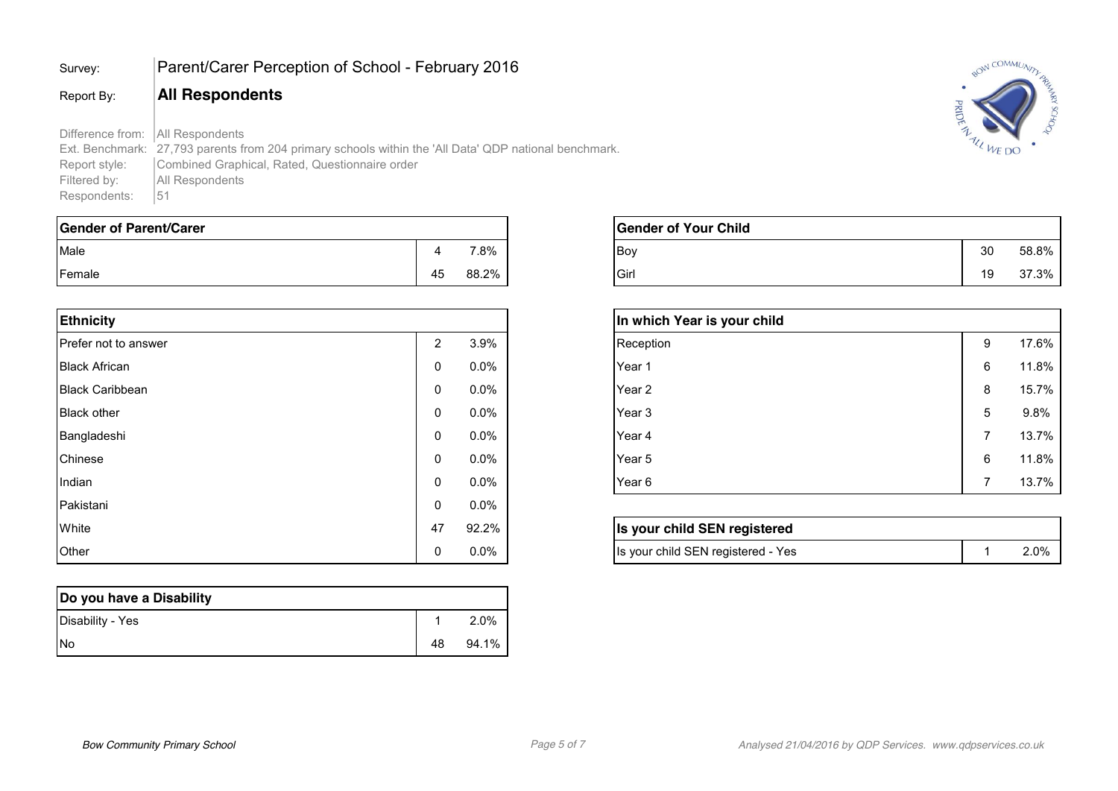# Survey: Parent/Carer Perception of School - February 2016

## Report By: **All Respondents**

Difference from: All Respondents Ext. Benchmark: 27,793 parents from 204 primary schools within the 'All Data' QDP national benchmark.<br>Report style: Combined Graphical, Rated, Questionnaire order Report style: Combined Graphical, Rated, Questionnaire order<br>Filtered by: All Respondents All Respondents<br>51 Respondents:

| Gender of Parent/Carer |    |       | <b>Gender of Your Child</b> |           |       |
|------------------------|----|-------|-----------------------------|-----------|-------|
| Male                   |    | 7.8%  | <b>Boy</b>                  | 30        | 58.8% |
| Female                 | 45 | 88.2% | Girl                        | 10<br>ت ו | 37.3% |

| <b>Ethnicity</b>       |                |         |
|------------------------|----------------|---------|
| Prefer not to answer   | $\overline{2}$ | 3.9%    |
| <b>Black African</b>   | 0              | $0.0\%$ |
| <b>Black Caribbean</b> | 0              | $0.0\%$ |
| <b>Black other</b>     | 0              | $0.0\%$ |
| Bangladeshi            | 0              | $0.0\%$ |
| Chinese                | 0              | $0.0\%$ |
| Indian                 | $\mathbf{0}$   | $0.0\%$ |
| Pakistani              | 0              | $0.0\%$ |
| White                  | 47             | 92.2%   |
| Other                  | 0              | $0.0\%$ |

| Do you have a Disability |    |       |
|--------------------------|----|-------|
| Disability - Yes         |    | 2.0%  |
| <b>INo</b>               | 48 | 94.1% |



| <b>Gender of Your Child</b> |    |       |
|-----------------------------|----|-------|
| lBov                        | 30 | 58.8% |
| Girl                        | 19 | 37.3% |

| In which Year is your child |   |       |
|-----------------------------|---|-------|
| Reception                   | 9 | 17.6% |
| Year 1                      | 6 | 11.8% |
| Year 2                      | 8 | 15.7% |
| Year 3                      | 5 | 9.8%  |
| Year 4                      | 7 | 13.7% |
| Year 5                      | 6 | 11.8% |
| Year 6                      | 7 | 13.7% |

| Is your child SEN registered       |      |
|------------------------------------|------|
| Is your child SEN registered - Yes | 2.0% |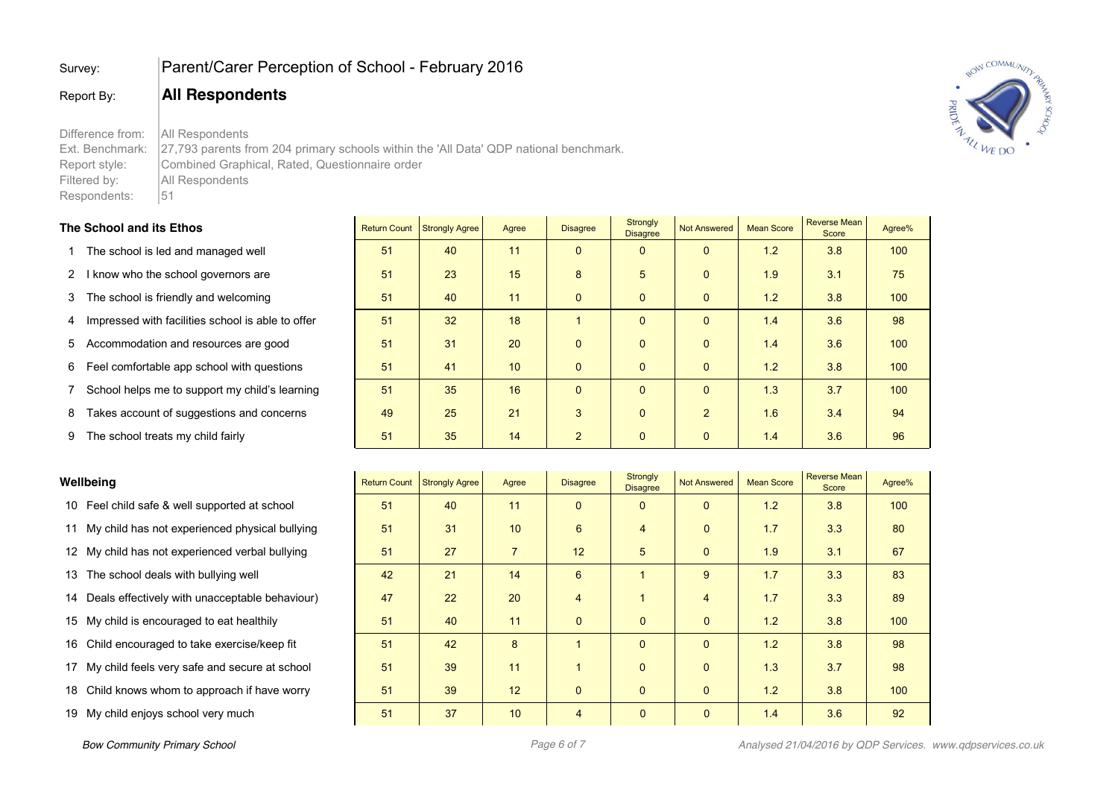## Survey: Parent/Carer Perception of School - February 2016

## Report By: **All Respondents**

Difference from: | All Respondents Ext. Benchmark: 27,793 parents from 204 primary schools within the 'All Data' QDP national benchmark. Report style: Combined Graphical, Rated, Questionnaire order Filtered by: All Respondents Respondents: | 51

## **The School and its Ethos Return Count Strongly Agree Agree Strongly Agree Strongly Strongly Agree Strongly Agree Strongly Agree Strongly Agree Strongly Agree Strongly Agree Strongly Agree Strongly Agree Strongly Agree S**

#### 1 The school is led and managed well **51** 140 11 0 0 0 0 1.2 3.8 100

- 2 I know who the school governors are **51 3.1** 23 15 3.1 3.1 3.1 3.1 3.1 3.1
- 3 The school is friendly and welcoming **51 51 40 11 0 0 0 0 1.2 3.8** 100
- 4 Impressed with facilities school is able to offer 51 32 18 1 0 0 1.4 3.6 98
- 5 Accommodation and resources are good **51** 51 31 20 0 0 0 0 1.4 3.6 100
- 6 Feel comfortable app school with questions 51 41 10 0 0 0 1.2 3.8 100
- 7 School helps me to support my child's learning 51 35 16 0 0 0 1.3 3.7 100
- 8 Takes account of suggestions and concerns

| 8         | Takes account of suggestions and concerns         | 49                  | 25                    | 21             | 3               | $\Omega$                           | $\overline{2}$ | 1.6               | 3.4                          | 94     |
|-----------|---------------------------------------------------|---------------------|-----------------------|----------------|-----------------|------------------------------------|----------------|-------------------|------------------------------|--------|
| 9         | The school treats my child fairly                 | 51                  | 35                    | 14             | $\overline{2}$  | $\mathbf{0}$                       | $\mathbf{0}$   | 1.4               | 3.6                          | 96     |
|           |                                                   |                     |                       |                |                 |                                    |                |                   |                              |        |
| Wellbeing |                                                   | <b>Return Count</b> | <b>Strongly Agree</b> | Agree          | <b>Disagree</b> | <b>Strongly</b><br><b>Disagree</b> | Not Answered   | <b>Mean Score</b> | <b>Reverse Mean</b><br>Score | Agree% |
|           | 10 Feel child safe & well supported at school     | 51                  | 40                    | 11             | $\Omega$        | $\Omega$                           | $\Omega$       | 1.2               | 3.8                          | 100    |
|           | 11 My child has not experienced physical bullying | 51                  | 31                    | 10             | 6               | 4                                  | $\mathbf{0}$   | 1.7               | 3.3                          | 80     |
|           | 12 My child has not experienced verbal bullying   | 51                  | 27                    | $\overline{7}$ | 12              | 5                                  | $\mathbf{0}$   | 1.9               | 3.1                          | 67     |
|           | 13 The school deals with bullying well            | 42                  | 21                    | 14             | 6               |                                    | 9              | 1.7               | 3.3                          | 83     |
|           | 14 Deals effectively with unacceptable behaviour) | 47                  | 22                    | 20             | $\overline{4}$  |                                    | $\overline{4}$ | 1.7               | 3.3                          | 89     |
|           | 15 My child is encouraged to eat healthily        | 51                  | 40                    | 11             | $\mathbf{0}$    | $\mathbf{0}$                       | $\mathbf 0$    | 1.2               | 3.8                          | 100    |
|           | 16 Child encouraged to take exercise/keep fit     | 51                  | 42                    | 8              |                 | $\Omega$                           | $\Omega$       | 1.2               | 3.8                          | 98     |
|           | 17 My child feels very safe and secure at school  | 51                  | 39                    | 11             |                 | $\Omega$                           | $\mathbf 0$    | 1.3               | 3.7                          | 98     |
|           | 18 Child knows whom to approach if have worry     | 51                  | 39                    | 12             | $\mathbf 0$     | $\mathbf{0}$                       | $\mathbf{0}$   | 1.2               | 3.8                          | 100    |
|           | 19 My child enjoys school very much               | 51                  | 37                    | 10             | $\overline{4}$  | $\mathbf{0}$                       | $\mathbf{0}$   | 1.4               | 3.6                          | 92     |
|           |                                                   |                     |                       |                |                 |                                    |                |                   |                              |        |

Not Answered | Mean Score | Reverse Mear



Agree%